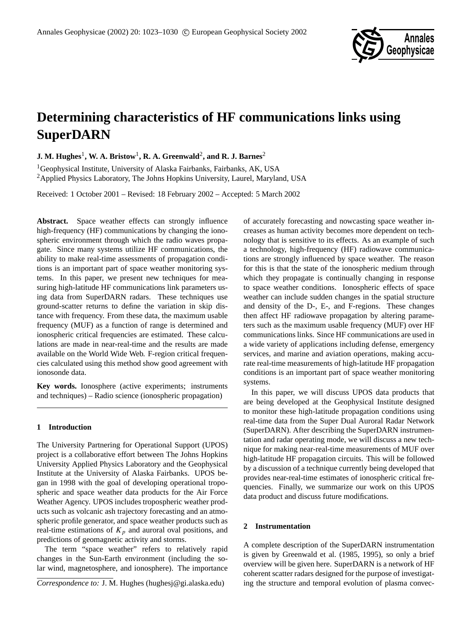

# **Determining characteristics of HF communications links using SuperDARN**

 $\mathbf{J}.$  M. Hughes<sup>1</sup>, W. A. Bristow<sup>1</sup>, R. A. Greenwald<sup>2</sup>, and R. J. Barnes<sup>2</sup>

<sup>1</sup>Geophysical Institute, University of Alaska Fairbanks, Fairbanks, AK, USA <sup>2</sup>Applied Physics Laboratory, The Johns Hopkins University, Laurel, Maryland, USA

Received: 1 October 2001 – Revised: 18 February 2002 – Accepted: 5 March 2002

Abstract. Space weather effects can strongly influence high-frequency (HF) communications by changing the ionospheric environment through which the radio waves propagate. Since many systems utilize HF communications, the ability to make real-time assessments of propagation conditions is an important part of space weather monitoring systems. In this paper, we present new techniques for measuring high-latitude HF communications link parameters using data from SuperDARN radars. These techniques use ground-scatter returns to define the variation in skip distance with frequency. From these data, the maximum usable frequency (MUF) as a function of range is determined and ionospheric critical frequencies are estimated. These calculations are made in near-real-time and the results are made available on the World Wide Web. F-region critical frequencies calculated using this method show good agreement with ionosonde data.

**Key words.** Ionosphere (active experiments; instruments and techniques) – Radio science (ionospheric propagation)

## **1 Introduction**

The University Partnering for Operational Support (UPOS) project is a collaborative effort between The Johns Hopkins University Applied Physics Laboratory and the Geophysical Institute at the University of Alaska Fairbanks. UPOS began in 1998 with the goal of developing operational tropospheric and space weather data products for the Air Force Weather Agency. UPOS includes tropospheric weather products such as volcanic ash trajectory forecasting and an atmospheric profile generator, and space weather products such as real-time estimations of  $K_p$  and auroral oval positions, and predictions of geomagnetic activity and storms.

The term "space weather" refers to relatively rapid changes in the Sun-Earth environment (including the solar wind, magnetosphere, and ionosphere). The importance

*Correspondence to:* J. M. Hughes (hughesj@gi.alaska.edu)

of accurately forecasting and nowcasting space weather increases as human activity becomes more dependent on technology that is sensitive to its effects. As an example of such a technology, high-frequency (HF) radiowave communications are strongly influenced by space weather. The reason for this is that the state of the ionospheric medium through which they propagate is continually changing in response to space weather conditions. Ionospheric effects of space weather can include sudden changes in the spatial structure and density of the D-, E-, and F-regions. These changes then affect HF radiowave propagation by altering parameters such as the maximum usable frequency (MUF) over HF communications links. Since HF communications are used in a wide variety of applications including defense, emergency services, and marine and aviation operations, making accurate real-time measurements of high-latitude HF propagation conditions is an important part of space weather monitoring systems.

In this paper, we will discuss UPOS data products that are being developed at the Geophysical Institute designed to monitor these high-latitude propagation conditions using real-time data from the Super Dual Auroral Radar Network (SuperDARN). After describing the SuperDARN instrumentation and radar operating mode, we will discuss a new technique for making near-real-time measurements of MUF over high-latitude HF propagation circuits. This will be followed by a discussion of a technique currently being developed that provides near-real-time estimates of ionospheric critical frequencies. Finally, we summarize our work on this UPOS data product and discuss future modifications.

# **2 Instrumentation**

A complete description of the SuperDARN instrumentation is given by Greenwald et al. (1985, 1995), so only a brief overview will be given here. SuperDARN is a network of HF coherent scatter radars designed for the purpose of investigating the structure and temporal evolution of plasma convec-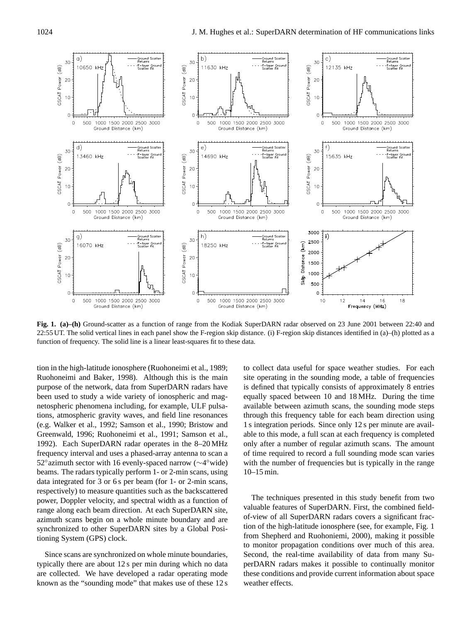

**Fig. 1. (a)–(h)** Ground-scatter as a function of range from the Kodiak SuperDARN radar observed on 23 June 2001 between 22:40 and 22:55 UT. The solid vertical lines in each panel show the F-region skip distance. (i) F-region skip distances identified in (a)–(h) plotted as a function of frequency. The solid line is a linear least-squares fit to these data.

tion in the high-latitude ionosphere (Ruohoneimi et al., 1989; Ruohoneimi and Baker, 1998). Although this is the main purpose of the network, data from SuperDARN radars have been used to study a wide variety of ionospheric and magnetospheric phenomena including, for example, ULF pulsations, atmospheric gravity waves, and field line resonances (e.g. Walker et al., 1992; Samson et al., 1990; Bristow and Greenwald, 1996; Ruohoneimi et al., 1991; Samson et al., 1992). Each SuperDARN radar operates in the 8–20 MHz frequency interval and uses a phased-array antenna to scan a 52° azimuth sector with 16 evenly-spaced narrow (~4° wide) beams. The radars typically perform 1- or 2-min scans, using data integrated for 3 or 6 s per beam (for 1- or 2-min scans, respectively) to measure quantities such as the backscattered power, Doppler velocity, and spectral width as a function of range along each beam direction. At each SuperDARN site, azimuth scans begin on a whole minute boundary and are synchronized to other SuperDARN sites by a Global Positioning System (GPS) clock.

Since scans are synchronized on whole minute boundaries, typically there are about 12 s per min during which no data are collected. We have developed a radar operating mode known as the "sounding mode" that makes use of these 12 s to collect data useful for space weather studies. For each site operating in the sounding mode, a table of frequencies is defined that typically consists of approximately 8 entries equally spaced between 10 and 18 MHz. During the time available between azimuth scans, the sounding mode steps through this frequency table for each beam direction using 1 s integration periods. Since only 12 s per minute are available to this mode, a full scan at each frequency is completed only after a number of regular azimuth scans. The amount of time required to record a full sounding mode scan varies with the number of frequencies but is typically in the range 10–15 min.

The techniques presented in this study benefit from two valuable features of SuperDARN. First, the combined fieldof-view of all SuperDARN radars covers a significant fraction of the high-latitude ionosphere (see, for example, Fig. 1 from Shepherd and Ruohoniemi, 2000), making it possible to monitor propagation conditions over much of this area. Second, the real-time availability of data from many SuperDARN radars makes it possible to continually monitor these conditions and provide current information about space weather effects.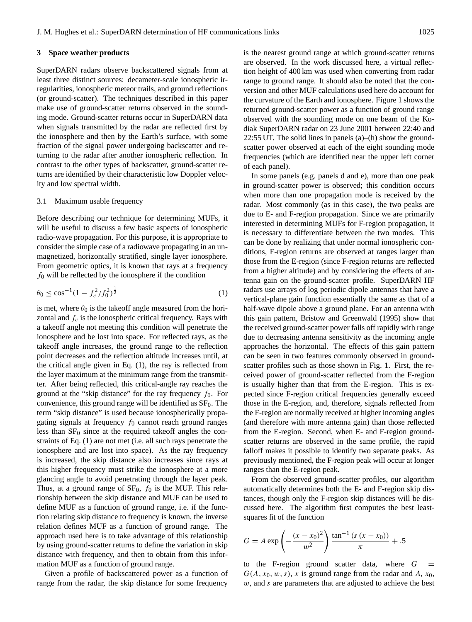#### **3 Space weather products**

SuperDARN radars observe backscattered signals from at least three distinct sources: decameter-scale ionospheric irregularities, ionospheric meteor trails, and ground reflections (or ground-scatter). The techniques described in this paper make use of ground-scatter returns observed in the sounding mode. Ground-scatter returns occur in SuperDARN data when signals transmitted by the radar are reflected first by the ionosphere and then by the Earth's surface, with some fraction of the signal power undergoing backscatter and returning to the radar after another ionospheric reflection. In contrast to the other types of backscatter, ground-scatter returns are identified by their characteristic low Doppler velocity and low spectral width.

#### 3.1 Maximum usable frequency

Before describing our technique for determining MUFs, it will be useful to discuss a few basic aspects of ionospheric radio-wave propagation. For this purpose, it is appropriate to consider the simple case of a radiowave propagating in an unmagnetized, horizontally stratified, single layer ionosphere. From geometric optics, it is known that rays at a frequency  $f_0$  will be reflected by the ionosphere if the condition

$$
\theta_0 \le \cos^{-1}(1 - f_c^2/f_0^2)^{\frac{1}{2}} \tag{1}
$$

is met, where  $\theta_0$  is the takeoff angle measured from the horizontal and  $f_c$  is the ionospheric critical frequency. Rays with a takeoff angle not meeting this condition will penetrate the ionosphere and be lost into space. For reflected rays, as the takeoff angle increases, the ground range to the reflection point decreases and the reflection altitude increases until, at the critical angle given in Eq. (1), the ray is reflected from the layer maximum at the minimum range from the transmitter. After being reflected, this critical-angle ray reaches the ground at the "skip distance" for the ray frequency  $f_0$ . For convenience, this ground range will be identified as  $SF<sub>0</sub>$ . The term "skip distance" is used because ionospherically propagating signals at frequency  $f_0$  cannot reach ground ranges less than  $SF<sub>0</sub>$  since at the required takeoff angles the constraints of Eq. (1) are not met (i.e. all such rays penetrate the ionosphere and are lost into space). As the ray frequency is increased, the skip distance also increases since rays at this higher frequency must strike the ionosphere at a more glancing angle to avoid penetrating through the layer peak. Thus, at a ground range of  $SF_0$ ,  $f_0$  is the MUF. This relationship between the skip distance and MUF can be used to define MUF as a function of ground range, i.e. if the function relating skip distance to frequency is known, the inverse relation defines MUF as a function of ground range. The approach used here is to take advantage of this relationship by using ground-scatter returns to define the variation in skip distance with frequency, and then to obtain from this information MUF as a function of ground range.

Given a profile of backscattered power as a function of range from the radar, the skip distance for some frequency is the nearest ground range at which ground-scatter returns are observed. In the work discussed here, a virtual reflection height of 400 km was used when converting from radar range to ground range. It should also be noted that the conversion and other MUF calculations used here do account for the curvature of the Earth and ionosphere. Figure 1 shows the returned ground-scatter power as a function of ground range observed with the sounding mode on one beam of the Kodiak SuperDARN radar on 23 June 2001 between 22:40 and 22:55 UT. The solid lines in panels (a)–(h) show the groundscatter power observed at each of the eight sounding mode frequencies (which are identified near the upper left corner of each panel).

In some panels (e.g. panels d and e), more than one peak in ground-scatter power is observed; this condition occurs when more than one propagation mode is received by the radar. Most commonly (as in this case), the two peaks are due to E- and F-region propagation. Since we are primarily interested in determining MUFs for F-region propagation, it is necessary to differentiate between the two modes. This can be done by realizing that under normal ionospheric conditions, F-region returns are observed at ranges larger than those from the E-region (since F-region returns are reflected from a higher altitude) and by considering the effects of antenna gain on the ground-scatter profile. SuperDARN HF radars use arrays of log periodic dipole antennas that have a vertical-plane gain function essentially the same as that of a half-wave dipole above a ground plane. For an antenna with this gain pattern, Bristow and Greenwald (1995) show that the received ground-scatter power falls off rapidly with range due to decreasing antenna sensitivity as the incoming angle approaches the horizontal. The effects of this gain pattern can be seen in two features commonly observed in groundscatter profiles such as those shown in Fig. 1. First, the received power of ground-scatter reflected from the F-region is usually higher than that from the E-region. This is expected since F-region critical frequencies generally exceed those in the E-region, and, therefore, signals reflected from the F-region are normally received at higher incoming angles (and therefore with more antenna gain) than those reflected from the E-region. Second, when E- and F-region groundscatter returns are observed in the same profile, the rapid falloff makes it possible to identify two separate peaks. As previously mentioned, the F-region peak will occur at longer ranges than the E-region peak.

From the observed ground-scatter profiles, our algorithm automatically determines both the E- and F-region skip distances, though only the F-region skip distances will be discussed here. The algorithm first computes the best leastsquares fit of the function

$$
G = A \exp \left(-\frac{(x - x_0)^2}{w^2}\right) \frac{\tan^{-1} (s (x - x_0))}{\pi} + .5
$$

to the F-region ground scatter data, where  $G$  $G(A, x_0, w, s)$ , x is ground range from the radar and A,  $x_0$ , w, and s are parameters that are adjusted to achieve the best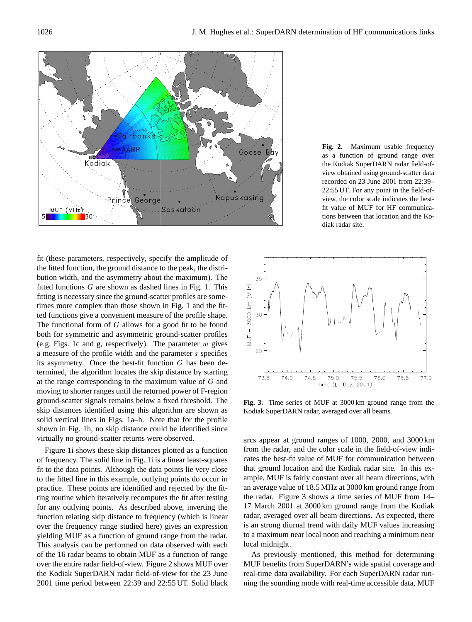

fit (these parameters, respectively, specify the amplitude of the fitted function, the ground distance to the peak, the distribution width, and the asymmetry about the maximum). The fitted functions G are shown as dashed lines in Fig. 1. This fitting is necessary since the ground-scatter profiles are sometimes more complex than those shown in Fig. 1 and the fitted functions give a convenient measure of the profile shape. The functional form of G allows for a good fit to be found both for symmetric and asymmetric ground-scatter profiles (e.g. Figs. 1c and g, respectively). The parameter  $w$  gives a measure of the profile width and the parameter s specifies its asymmetry. Once the best-fit function G has been determined, the algorithm locates the skip distance by starting at the range corresponding to the maximum value of G and moving to shorter ranges until the returned power of F-region ground-scatter signals remains below a fixed threshold. The skip distances identified using this algorithm are shown as solid vertical lines in Figs. 1a–h. Note that for the profile shown in Fig. 1h, no skip distance could be identified since virtually no ground-scatter returns were observed.

Figure 1i shows these skip distances plotted as a function of frequency. The solid line in Fig. 1i is a linear least-squares fit to the data points. Although the data points lie very close to the fitted line in this example, outlying points do occur in practice. These points are identified and rejected by the fitting routine which iteratively recomputes the fit after testing for any outlying points. As described above, inverting the function relating skip distance to frequency (which is linear over the frequency range studied here) gives an expression yielding MUF as a function of ground range from the radar. This analysis can be performed on data observed with each of the 16 radar beams to obtain MUF as a function of range over the entire radar field-of-view. Figure 2 shows MUF over the Kodiak SuperDARN radar field-of-view for the 23 June 2001 time period between 22:39 and 22:55 UT. Solid black

**Fig. 2.** Maximum usable frequency as a function of ground range over the Kodiak SuperDARN radar field-ofview obtained using ground-scatter data recorded on 23 June 2001 from 22:39– 22:55 UT. For any point in the field-ofview, the color scale indicates the bestfit value of MUF for HF communications between that location and the Kodiak radar site.



**Fig. 3.** Time series of MUF at 3000 km ground range from the Kodiak SuperDARN radar, averaged over all beams.

arcs appear at ground ranges of 1000, 2000, and 3000 km from the radar, and the color scale in the field-of-view indicates the best-fit value of MUF for communication between that ground location and the Kodiak radar site. In this example, MUF is fairly constant over all beam directions, with an average value of 18.5 MHz at 3000 km ground range from the radar. Figure 3 shows a time series of MUF from 14– 17 March 2001 at 3000 km ground range from the Kodiak radar, averaged over all beam directions. As expected, there is an strong diurnal trend with daily MUF values increasing to a maximum near local noon and reaching a minimum near local midnight.

As previously mentioned, this method for determining MUF benefits from SuperDARN's wide spatial coverage and real-time data availability. For each SuperDARN radar running the sounding mode with real-time accessible data, MUF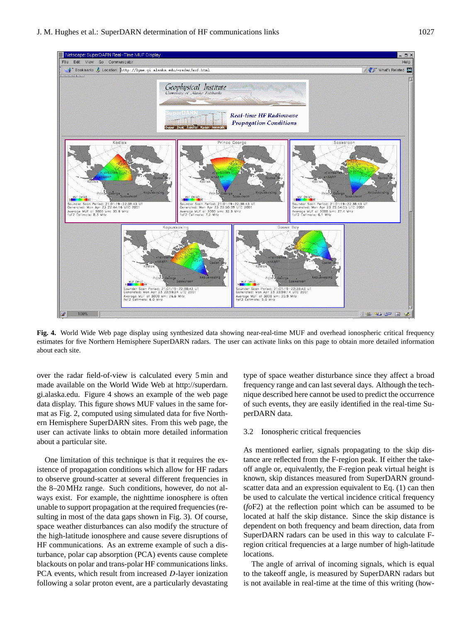

**Fig. 4.** World Wide Web page display using synthesized data showing near-real-time MUF and overhead ionospheric critical frequency estimates for five Northern Hemisphere SuperDARN radars. The user can activate links on this page to obtain more detailed information about each site.

over the radar field-of-view is calculated every 5 min and made available on the World Wide Web at http://superdarn. gi.alaska.edu. Figure 4 shows an example of the web page data display. This figure shows MUF values in the same format as Fig. 2, computed using simulated data for five Northern Hemisphere SuperDARN sites. From this web page, the user can activate links to obtain more detailed information about a particular site.

One limitation of this technique is that it requires the existence of propagation conditions which allow for HF radars to observe ground-scatter at several different frequencies in the 8–20 MHz range. Such conditions, however, do not always exist. For example, the nighttime ionosphere is often unable to support propagation at the required frequencies (resulting in most of the data gaps shown in Fig. 3). Of course, space weather disturbances can also modify the structure of the high-latitude ionosphere and cause severe disruptions of HF communications. As an extreme example of such a disturbance, polar cap absorption (PCA) events cause complete blackouts on polar and trans-polar HF communications links. PCA events, which result from increased D-layer ionization following a solar proton event, are a particularly devastating

type of space weather disturbance since they affect a broad frequency range and can last several days. Although the technique described here cannot be used to predict the occurrence of such events, they are easily identified in the real-time SuperDARN data.

## 3.2 Ionospheric critical frequencies

As mentioned earlier, signals propagating to the skip distance are reflected from the F-region peak. If either the takeoff angle or, equivalently, the F-region peak virtual height is known, skip distances measured from SuperDARN groundscatter data and an expression equivalent to Eq. (1) can then be used to calculate the vertical incidence critical frequency (*fo*F2) at the reflection point which can be assumed to be located at half the skip distance. Since the skip distance is dependent on both frequency and beam direction, data from SuperDARN radars can be used in this way to calculate Fregion critical frequencies at a large number of high-latitude locations.

The angle of arrival of incoming signals, which is equal to the takeoff angle, is measured by SuperDARN radars but is not available in real-time at the time of this writing (how-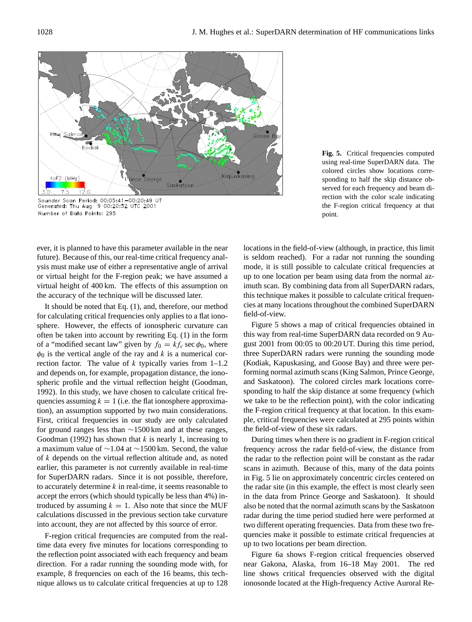

Sounder Scan Period: 00:05:41-00:20:49 UT<br>Generated: Thu Aug 9 00:20:52 UTC 2001 Number of Data Points: 295

ever, it is planned to have this parameter available in the near future). Because of this, our real-time critical frequency analysis must make use of either a representative angle of arrival or virtual height for the F-region peak; we have assumed a virtual height of 400 km. The effects of this assumption on the accuracy of the technique will be discussed later.

It should be noted that Eq. (1), and, therefore, our method for calculating critical frequencies only applies to a flat ionosphere. However, the effects of ionospheric curvature can often be taken into account by rewriting Eq. (1) in the form of a "modified secant law" given by  $f_0 = k f_c \sec \phi_0$ , where  $\phi_0$  is the vertical angle of the ray and k is a numerical correction factor. The value of  $k$  typically varies from  $1-1.2$ and depends on, for example, propagation distance, the ionospheric profile and the virtual reflection height (Goodman, 1992). In this study, we have chosen to calculate critical frequencies assuming  $k = 1$  (i.e. the flat ionosphere approximation), an assumption supported by two main considerations. First, critical frequencies in our study are only calculated for ground ranges less than ∼1500 km and at these ranges, Goodman (1992) has shown that  $k$  is nearly 1, increasing to a maximum value of ∼1.04 at ∼1500 km. Second, the value of k depends on the virtual reflection altitude and, as noted earlier, this parameter is not currently available in real-time for SuperDARN radars. Since it is not possible, therefore, to accurately determine  $k$  in real-time, it seems reasonable to accept the errors (which should typically be less than 4%) introduced by assuming  $k = 1$ . Also note that since the MUF calculations discussed in the previous section take curvature into account, they are not affected by this source of error.

F-region critical frequencies are computed from the realtime data every five minutes for locations corresponding to the reflection point associated with each frequency and beam direction. For a radar running the sounding mode with, for example, 8 frequencies on each of the 16 beams, this technique allows us to calculate critical frequencies at up to 128

**Fig. 5.** Critical frequencies computed using real-time SuperDARN data. The colored circles show locations corresponding to half the skip distance observed for each frequency and beam direction with the color scale indicating the F-region critical frequency at that point.

locations in the field-of-view (although, in practice, this limit is seldom reached). For a radar not running the sounding mode, it is still possible to calculate critical frequencies at up to one location per beam using data from the normal azimuth scan. By combining data from all SuperDARN radars, this technique makes it possible to calculate critical frequencies at many locations throughout the combined SuperDARN field-of-view.

Figure 5 shows a map of critical frequencies obtained in this way from real-time SuperDARN data recorded on 9 August 2001 from 00:05 to 00:20 UT. During this time period, three SuperDARN radars were running the sounding mode (Kodiak, Kapuskasing, and Goose Bay) and three were performing normal azimuth scans (King Salmon, Prince George, and Saskatoon). The colored circles mark locations corresponding to half the skip distance at some frequency (which we take to be the reflection point), with the color indicating the F-region critical frequency at that location. In this example, critical frequencies were calculated at 295 points within the field-of-view of these six radars.

During times when there is no gradient in F-region critical frequency across the radar field-of-view, the distance from the radar to the reflection point will be constant as the radar scans in azimuth. Because of this, many of the data points in Fig. 5 lie on approximately concentric circles centered on the radar site (in this example, the effect is most clearly seen in the data from Prince George and Saskatoon). It should also be noted that the normal azimuth scans by the Saskatoon radar during the time period studied here were performed at two different operating frequencies. Data from these two frequencies make it possible to estimate critical frequencies at up to two locations per beam direction.

Figure 6a shows F-region critical frequencies observed near Gakona, Alaska, from 16–18 May 2001. The red line shows critical frequencies observed with the digital ionosonde located at the High-frequency Active Auroral Re-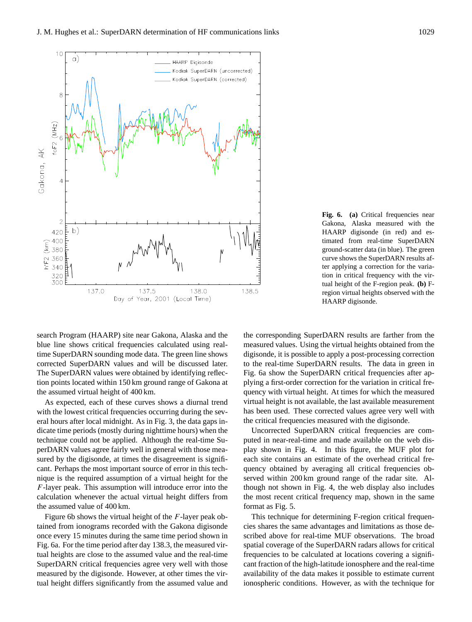

Fig. 6. (a) Critical frequencies near Gakona, Alaska measured with the HAARP digisonde (in red) and estimated from real-time SuperDARN ground-scatter data (in blue). The green curve shows the SuperDARN results after applying a correction for the variation in critical frequency with the virtual height of the F-region peak. **(b)** Fregion virtual heights observed with the HAARP digisonde.

search Program (HAARP) site near Gakona, Alaska and the blue line shows critical frequencies calculated using realtime SuperDARN sounding mode data. The green line shows corrected SuperDARN values and will be discussed later. The SuperDARN values were obtained by identifying reflection points located within 150 km ground range of Gakona at the assumed virtual height of 400 km.

As expected, each of these curves shows a diurnal trend with the lowest critical frequencies occurring during the several hours after local midnight. As in Fig. 3, the data gaps indicate time periods (mostly during nighttime hours) when the technique could not be applied. Although the real-time SuperDARN values agree fairly well in general with those measured by the digisonde, at times the disagreement is significant. Perhaps the most important source of error in this technique is the required assumption of a virtual height for the F-layer peak. This assumption will introduce error into the calculation whenever the actual virtual height differs from the assumed value of 400 km.

Figure 6b shows the virtual height of the  $F$ -layer peak obtained from ionograms recorded with the Gakona digisonde once every 15 minutes during the same time period shown in Fig. 6a. For the time period after day 138.3, the measured virtual heights are close to the assumed value and the real-time SuperDARN critical frequencies agree very well with those measured by the digisonde. However, at other times the virtual height differs significantly from the assumed value and

the corresponding SuperDARN results are farther from the measured values. Using the virtual heights obtained from the digisonde, it is possible to apply a post-processing correction to the real-time SuperDARN results. The data in green in Fig. 6a show the SuperDARN critical frequencies after applying a first-order correction for the variation in critical frequency with virtual height. At times for which the measured virtual height is not available, the last available measurement has been used. These corrected values agree very well with the critical frequencies measured with the digisonde.

Uncorrected SuperDARN critical frequencies are computed in near-real-time and made available on the web display shown in Fig. 4. In this figure, the MUF plot for each site contains an estimate of the overhead critical frequency obtained by averaging all critical frequencies observed within 200 km ground range of the radar site. Although not shown in Fig. 4, the web display also includes the most recent critical frequency map, shown in the same format as Fig. 5.

This technique for determining F-region critical frequencies shares the same advantages and limitations as those described above for real-time MUF observations. The broad spatial coverage of the SuperDARN radars allows for critical frequencies to be calculated at locations covering a significant fraction of the high-latitude ionosphere and the real-time availability of the data makes it possible to estimate current ionospheric conditions. However, as with the technique for